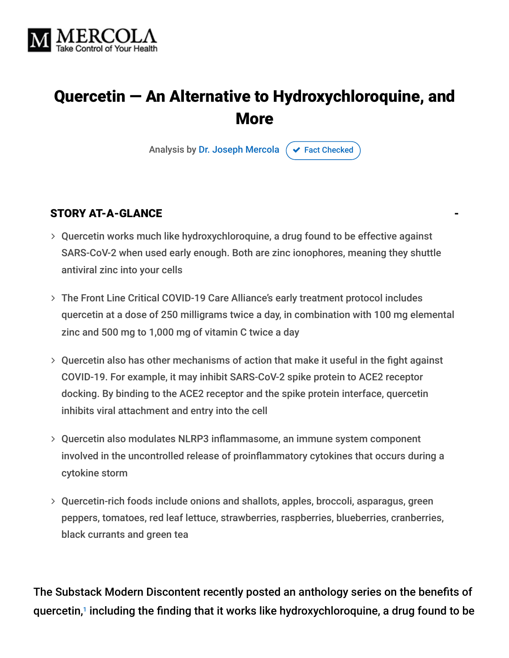

# Quercetin — An Alternative to Hydroxychloroquine, and More

Analysis by [Dr. Joseph Mercola](https://www.mercola.com/forms/background.htm)  $\sigma$  [Fact Checked](javascript:void(0))

#### STORY AT-A-GLANCE

- Quercetin works much like hydroxychloroquine, a drug found to be effective against SARS-CoV-2 when used early enough. Both are zinc ionophores, meaning they shuttle antiviral zinc into your cells
- The Front Line Critical COVID-19 Care Alliance's early treatment protocol includes quercetin at a dose of 250 milligrams twice a day, in combination with 100 mg elemental zinc and 500 mg to 1,000 mg of vitamin C twice a day
- Quercetin also has other mechanisms of action that make it useful in the fight against COVID-19. For example, it may inhibit SARS-CoV-2 spike protein to ACE2 receptor docking. By binding to the ACE2 receptor and the spike protein interface, quercetin inhibits viral attachment and entry into the cell
- Quercetin also modulates NLRP3 inflammasome, an immune system component involved in the uncontrolled release of proinflammatory cytokines that occurs during a cytokine storm
- Quercetin-rich foods include onions and shallots, apples, broccoli, asparagus, green peppers, tomatoes, red leaf lettuce, strawberries, raspberries, blueberries, cranberries, black currants and green tea

The Substack Modern Discontent recently posted an anthology series on the benefits of quercetin,1 including the finding that it works like hydroxychloroquine, a drug found to be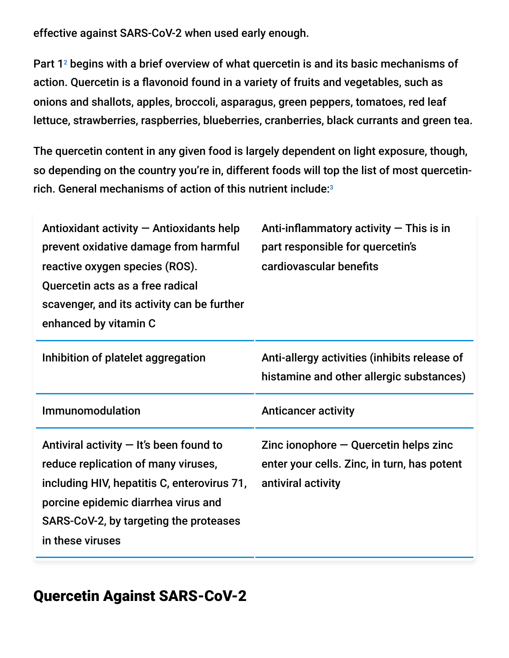effective against SARS-CoV-2 when used early enough.

Part  $1<sup>2</sup>$  begins with a brief overview of what quercetin is and its basic mechanisms of action. Quercetin is a flavonoid found in a variety of fruits and vegetables, such as onions and shallots, apples, broccoli, asparagus, green peppers, tomatoes, red leaf lettuce, strawberries, raspberries, blueberries, cranberries, black currants and green tea.

The quercetin content in any given food is largely dependent on light exposure, though, so depending on the country you're in, different foods will top the list of most quercetinrich. General mechanisms of action of this nutrient include: 3

| Antioxidant activity - Antioxidants help<br>prevent oxidative damage from harmful<br>reactive oxygen species (ROS).<br>Quercetin acts as a free radical<br>scavenger, and its activity can be further<br>enhanced by vitamin C       | Anti-inflammatory activity $-$ This is in<br>part responsible for quercetin's<br>cardiovascular benefits          |
|--------------------------------------------------------------------------------------------------------------------------------------------------------------------------------------------------------------------------------------|-------------------------------------------------------------------------------------------------------------------|
| Inhibition of platelet aggregation                                                                                                                                                                                                   | Anti-allergy activities (inhibits release of<br>histamine and other allergic substances)                          |
| Immunomodulation                                                                                                                                                                                                                     | <b>Anticancer activity</b>                                                                                        |
| Antiviral activity $-$ It's been found to<br>reduce replication of many viruses,<br>including HIV, hepatitis C, enterovirus 71,<br>porcine epidemic diarrhea virus and<br>SARS-CoV-2, by targeting the proteases<br>in these viruses | Zinc ionophore $-\Omega$ uercetin helps zinc<br>enter your cells. Zinc, in turn, has potent<br>antiviral activity |

## Quercetin Against SARS-CoV-2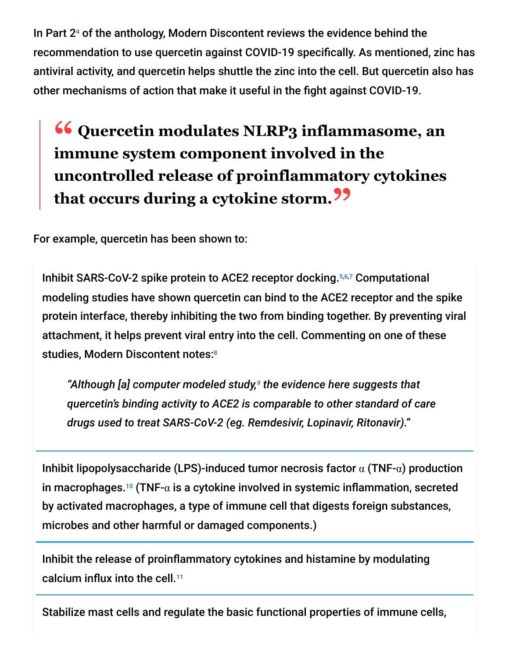In Part  $2<sup>4</sup>$  of the anthology, Modern Discontent reviews the evidence behind the recommendation to use quercetin against COVID-19 specifically. As mentioned, zinc has antiviral activity, and quercetin helps shuttle the zinc into the cell. But quercetin also has other mechanisms of action that make it useful in the fight against COVID-19.

# **<sup>66</sup>** Quercetin modulates NLRP3 inflammasome, an<br>
immune system component involved in the **immune system component involved in the uncontrolled release of proinflammatory cytokines that occurs during a cytokine storm."**

For example, quercetin has been shown to:

Inhibit SARS-CoV-2 spike protein to ACE2 receptor docking. 5,6,7 Computational modeling studies have shown quercetin can bind to the ACE2 receptor and the spike protein interface, thereby inhibiting the two from binding together. By preventing viral attachment, it helps prevent viral entry into the cell. Commenting on one of these studies, Modern Discontent notes: 8

"Although [a] computer modeled study,<sup>9</sup> the evidence here suggests that *quercetin's binding activity to ACE2 is comparable to other standard of care drugs used to treat SARS-CoV-2 (eg. Remdesivir, Lopinavir, Ritonavir)."*

Inhibit lipopolysaccharide (LPS)-induced tumor necrosis factor  $\alpha$  (TNF- $\alpha$ ) production in macrophages.<sup>10</sup> (TNF- $\alpha$  is a cytokine involved in systemic inflammation, secreted by activated macrophages, a type of immune cell that digests foreign substances, microbes and other harmful or damaged components.)

Inhibit the release of proinflammatory cytokines and histamine by modulating calcium influx into the cell. 11

Stabilize mast cells and regulate the basic functional properties of immune cells,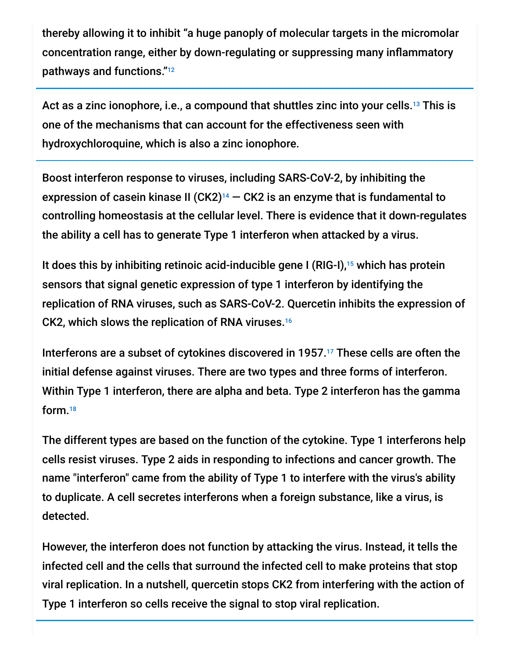thereby allowing it to inhibit "a huge panoply of molecular targets in the micromolar concentration range, either by down-regulating or suppressing many inflammatory pathways and functions." 12

Act as a zinc ionophore, i.e., a compound that shuttles zinc into your cells. $^{\scriptscriptstyle 13}$  This is one of the mechanisms that can account for the effectiveness seen with hydroxychloroquine, which is also a zinc ionophore.

Boost interferon response to viruses, including SARS-CoV-2, by inhibiting the expression of casein kinase II (CK2) $14$  – CK2 is an enzyme that is fundamental to controlling homeostasis at the cellular level. There is evidence that it down-regulates the ability a cell has to generate Type 1 interferon when attacked by a virus.

It does this by inhibiting retinoic acid-inducible gene I (RIG-I),<sup>15</sup> which has protein sensors that signal genetic expression of type 1 interferon by identifying the replication of RNA viruses, such as SARS-CoV-2. Quercetin inhibits the expression of CK2, which slows the replication of RNA viruses. 16

Interferons are a subset of cytokines discovered in 1957. $17$  These cells are often the initial defense against viruses. There are two types and three forms of interferon. Within Type 1 interferon, there are alpha and beta. Type 2 interferon has the gamma form. 18

The different types are based on the function of the cytokine. Type 1 interferons help cells resist viruses. Type 2 aids in responding to infections and cancer growth. The name "interferon" came from the ability of Type 1 to interfere with the virus's ability to duplicate. A cell secretes interferons when a foreign substance, like a virus, is detected.

However, the interferon does not function by attacking the virus. Instead, it tells the infected cell and the cells that surround the infected cell to make proteins that stop viral replication. In a nutshell, quercetin stops CK2 from interfering with the action of Type 1 interferon so cells receive the signal to stop viral replication.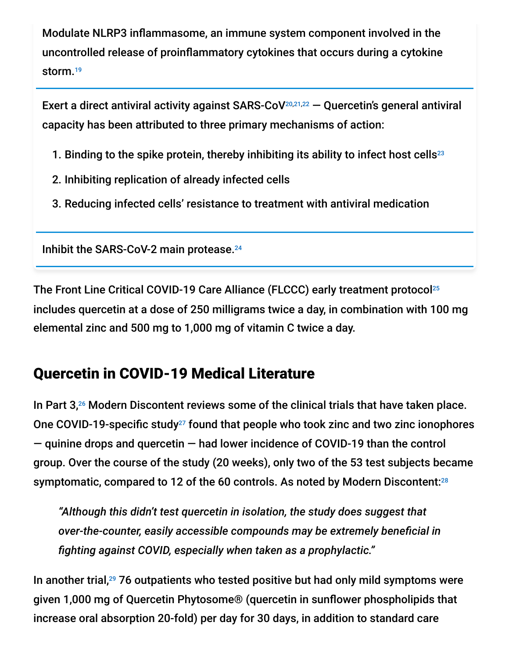Modulate NLRP3 inflammasome, an immune system component involved in the uncontrolled release of proinflammatory cytokines that occurs during a cytokine storm. 19

Exert a direct antiviral activity against SARS-CoV $^{20,21,22}$  – Quercetin's general antiviral capacity has been attributed to three primary mechanisms of action:

- 1. Binding to the spike protein, thereby inhibiting its ability to infect host cells<sup>23</sup>
- 2. Inhibiting replication of already infected cells
- 3. Reducing infected cells' resistance to treatment with antiviral medication

Inhibit the SARS-CoV-2 main protease. 24

The Front Line Critical COVID-19 Care Alliance (FLCCC) early treatment protocol 25 includes quercetin at a dose of 250 milligrams twice a day, in combination with 100 mg elemental zinc and 500 mg to 1,000 mg of vitamin C twice a day.

## Quercetin in COVID-19 Medical Literature

In Part  $3,26$  Modern Discontent reviews some of the clinical trials that have taken place. One COVID-19-specific study<sup>27</sup> found that people who took zinc and two zinc ionophores — quinine drops and quercetin — had lower incidence of COVID-19 than the control group. Over the course of the study (20 weeks), only two of the 53 test subjects became symptomatic, compared to 12 of the 60 controls. As noted by Modern Discontent:<sup>28</sup>

*"Although this didn't test quercetin in isolation, the study does suggest that over-the-counter, easily accessible compounds may be extremely beneficial in fighting against COVID, especially when taken as a prophylactic."*

In another trial,<sup>29</sup> 76 outpatients who tested positive but had only mild symptoms were given 1,000 mg of Quercetin Phytosome® (quercetin in sunflower phospholipids that increase oral absorption 20-fold) per day for 30 days, in addition to standard care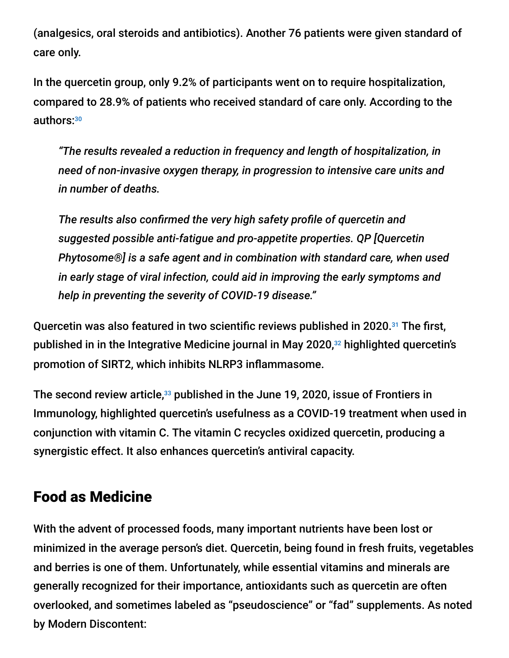(analgesics, oral steroids and antibiotics). Another 76 patients were given standard of care only.

In the quercetin group, only 9.2% of participants went on to require hospitalization, compared to 28.9% of patients who received standard of care only. According to the authors: 30

*"The results revealed a reduction in frequency and length of hospitalization, in need of non-invasive oxygen therapy, in progression to intensive care units and in number of deaths.*

*The results also confirmed the very high safety profile of quercetin and suggested possible anti-fatigue and pro-appetite properties. QP [Quercetin Phytosome®] is a safe agent and in combination with standard care, when used in early stage of viral infection, could aid in improving the early symptoms and help in preventing the severity of COVID-19 disease."*

Quercetin was also featured in two scientific reviews published in 2020.<sup>31</sup> The first, published in in the Integrative Medicine journal in May 2020,<sup>32</sup> highlighted quercetin's promotion of SIRT2, which inhibits NLRP3 inflammasome.

The second review article, $^{33}$  published in the June 19, 2020, issue of Frontiers in Immunology, highlighted quercetin's usefulness as a COVID-19 treatment when used in conjunction with vitamin C. The vitamin C recycles oxidized quercetin, producing a synergistic effect. It also enhances quercetin's antiviral capacity.

### Food as Medicine

With the advent of processed foods, many important nutrients have been lost or minimized in the average person's diet. Quercetin, being found in fresh fruits, vegetables and berries is one of them. Unfortunately, while essential vitamins and minerals are generally recognized for their importance, antioxidants such as quercetin are often overlooked, and sometimes labeled as "pseudoscience" or "fad" supplements. As noted by Modern Discontent: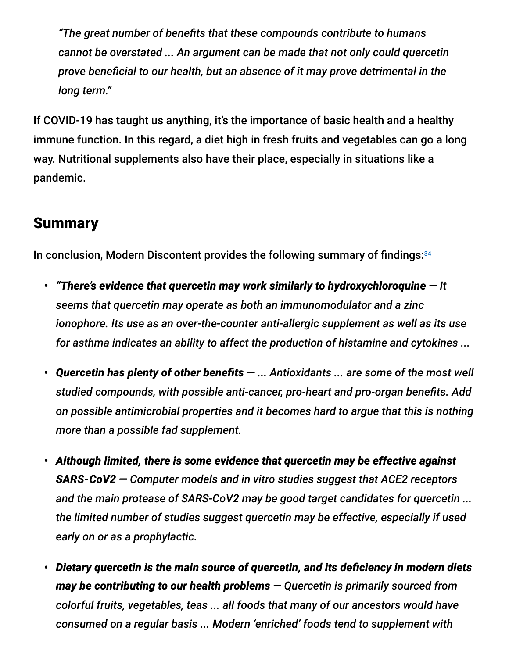*"The great number of benefits that these compounds contribute to humans cannot be overstated ... An argument can be made that not only could quercetin prove beneficial to our health, but an absence of it may prove detrimental in the long term."*

If COVID-19 has taught us anything, it's the importance of basic health and a healthy immune function. In this regard, a diet high in fresh fruits and vegetables can go a long way. Nutritional supplements also have their place, especially in situations like a pandemic.

### **Summary**

In conclusion, Modern Discontent provides the following summary of findings: 34

- *• "There's evidence that quercetin may work similarly to hydroxychloroquine — It seems that quercetin may operate as both an immunomodulator and a zinc ionophore. Its use as an over-the-counter anti-allergic supplement as well as its use for asthma indicates an ability to affect the production of histamine and cytokines ...*
- *• Quercetin has plenty of other benefits — ... Antioxidants ... are some of the most well studied compounds, with possible anti-cancer, pro-heart and pro-organ benefits. Add on possible antimicrobial properties and it becomes hard to argue that this is nothing more than a possible fad supplement.*
- *• Although limited, there is some evidence that quercetin may be effective against SARS-CoV2 — Computer models and in vitro studies suggest that ACE2 receptors and the main protease of SARS-CoV2 may be good target candidates for quercetin ... the limited number of studies suggest quercetin may be effective, especially if used early on or as a prophylactic.*
- *• Dietary quercetin is the main source of quercetin, and its deficiency in modern diets may be contributing to our health problems — Quercetin is primarily sourced from colorful fruits, vegetables, teas ... all foods that many of our ancestors would have consumed on a regular basis ... Modern 'enriched' foods tend to supplement with*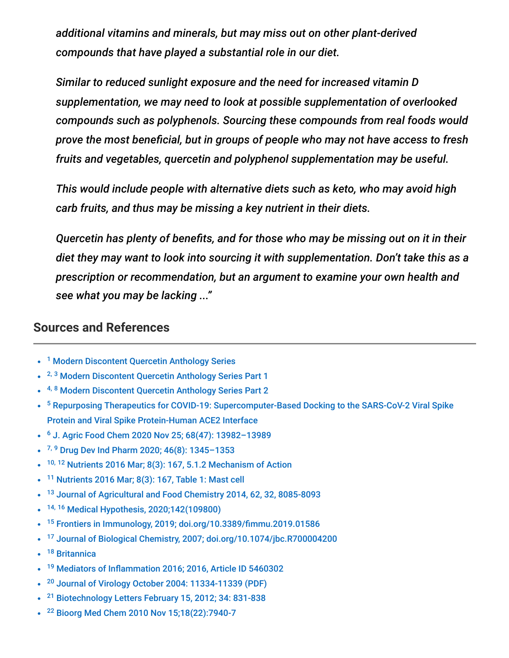*additional vitamins and minerals, but may miss out on other plant-derived compounds that have played a substantial role in our diet.*

*Similar to reduced sunlight exposure and the need for increased vitamin D supplementation, we may need to look at possible supplementation of overlooked compounds such as polyphenols. Sourcing these compounds from real foods would prove the most beneficial, but in groups of people who may not have access to fresh fruits and vegetables, quercetin and polyphenol supplementation may be useful.*

*This would include people with alternative diets such as keto, who may avoid high carb fruits, and thus may be missing a key nutrient in their diets.*

*Quercetin has plenty of benefits, and for those who may be missing out on it in their diet they may want to look into sourcing it with supplementation. Don't take this as a prescription or recommendation, but an argument to examine your own health and see what you may be lacking ..."*

#### **Sources and References**

- <sup>1</sup> [Modern Discontent Quercetin Anthology Series](https://moderndiscontent.substack.com/p/the-quercetin-anthology-series)
- <sup>2, 3</sup> [Modern Discontent Quercetin Anthology Series Part 1](https://moderndiscontent.substack.com/p/quercetin-an-over-the-counter-hydroxychloroquine)
- <sup>4, 8</sup> [Modern Discontent Quercetin Anthology Series Part 2](https://moderndiscontent.substack.com/p/quercetin-an-over-the-counter-hydroxychloroquine-525)
- <sup>5</sup> [Repurposing Therapeutics for COVID-19: Supercomputer-Based Docking to the SARS-CoV-2 Viral Spike](https://bit.ly/3z66ljP) Protein and Viral Spike Protein-Human ACE2 Interface
- <sup>6</sup> J. Agric Food Chem 2020 Nov 25; 68(47): 13982-13989
- 7, 9 Drug Dev Ind Pharm 2020; 46(8): 1345-1353
- $10, 12$  [Nutrients 2016 Mar; 8\(3\): 167, 5.1.2 Mechanism of Action](https://www.ncbi.nlm.nih.gov/pmc/articles/PMC4808895/)
- <sup>11</sup> [Nutrients 2016 Mar; 8\(3\): 167, Table 1: Mast cell](https://www.ncbi.nlm.nih.gov/pmc/articles/PMC4808895/)  $\bullet$
- <sup>13</sup> [Journal of Agricultural and Food Chemistry 2014, 62, 32, 8085-8093](https://pubs.acs.org/doi/full/10.1021/jf5014633)
- <sup>14, 16</sup> [Medical Hypothesis, 2020;142\(109800\)](https://pubmed.ncbi.nlm.nih.gov/32388479/)  $\bullet$
- <sup>15</sup> [Frontiers in Immunology, 2019; doi.org/10.3389/fimmu.2019.01586](https://www.frontiersin.org/articles/10.3389/fimmu.2019.01586/full)  $\bullet$
- <sup>17</sup> [Journal of Biological Chemistry, 2007; doi.org/10.1074/jbc.R700004200](https://www.jbc.org/content/282/28/20047.long)
- <sup>18</sup> [Britannica](https://www.britannica.com/science/interferon)
- <sup>19</sup> [Mediators of Inflammation 2016; 2016, Article ID 5460302](https://www.hindawi.com/journals/mi/2016/5460302/)  $\bullet$
- <sup>20</sup> [Journal of Virology October 2004: 11334-11339 \(PDF\)](https://jvi.asm.org/content/jvi/78/20/11334.full.pdf)  $\bullet$
- <sup>21</sup> [Biotechnology Letters February 15, 2012; 34: 831-838](https://link.springer.com/article/10.1007/s10529-011-0845-8)
- <sup>22</sup> [Bioorg Med Chem 2010 Nov 15;18\(22\):7940-7](https://pubmed.ncbi.nlm.nih.gov/20934345/)